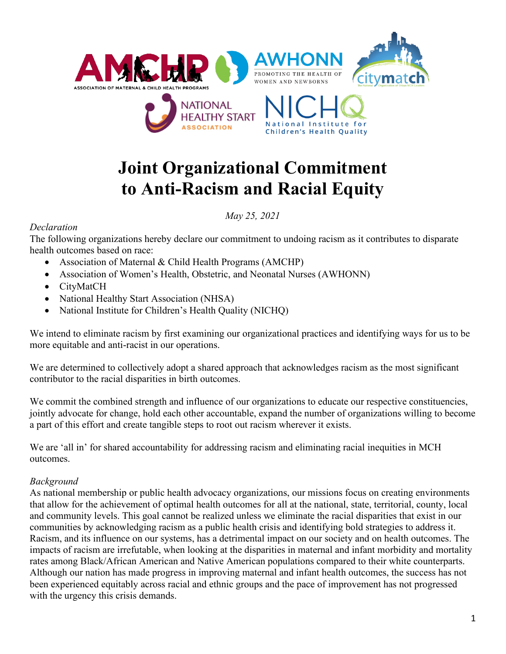

# **Joint Organizational Commitment to Anti-Racism and Racial Equity**

### *May 25, 2021*

#### *Declaration*

The following organizations hereby declare our commitment to undoing racism as it contributes to disparate health outcomes based on race:

- Association of Maternal & Child Health Programs (AMCHP)
- Association of Women's Health, Obstetric, and Neonatal Nurses (AWHONN)
- CityMatCH
- National Healthy Start Association (NHSA)
- National Institute for Children's Health Quality (NICHQ)

We intend to eliminate racism by first examining our organizational practices and identifying ways for us to be more equitable and anti-racist in our operations.

We are determined to collectively adopt a shared approach that acknowledges racism as the most significant contributor to the racial disparities in birth outcomes.

We commit the combined strength and influence of our organizations to educate our respective constituencies, jointly advocate for change, hold each other accountable, expand the number of organizations willing to become a part of this effort and create tangible steps to root out racism wherever it exists.

We are 'all in' for shared accountability for addressing racism and eliminating racial inequities in MCH outcomes.

### *Background*

As national membership or public health advocacy organizations, our missions focus on creating environments that allow for the achievement of optimal health outcomes for all at the national, state, territorial, county, local and community levels. This goal cannot be realized unless we eliminate the racial disparities that exist in our communities by acknowledging racism as a public health crisis and identifying bold strategies to address it. Racism, and its influence on our systems, has a detrimental impact on our society and on health outcomes. The impacts of racism are irrefutable, when looking at the disparities in maternal and infant morbidity and mortality rates among Black/African American and Native American populations compared to their white counterparts. Although our nation has made progress in improving maternal and infant health outcomes, the success has not been experienced equitably across racial and ethnic groups and the pace of improvement has not progressed with the urgency this crisis demands.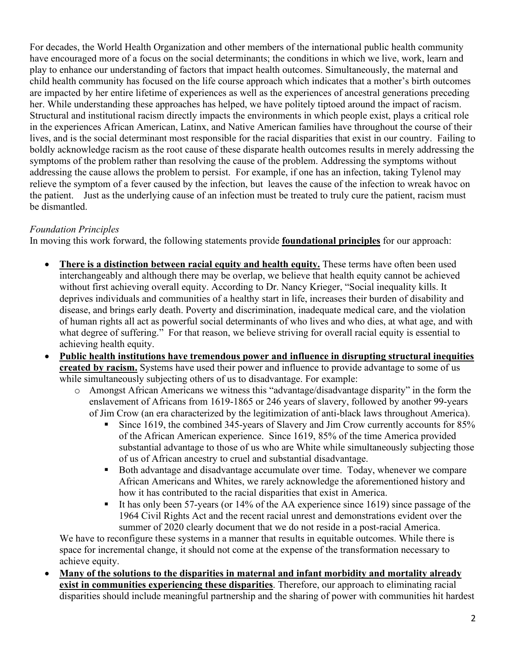For decades, the World Health Organization and other members of the international public health community have encouraged more of a focus on the social determinants; the conditions in which we live, work, learn and play to enhance our understanding of factors that impact health outcomes. Simultaneously, the maternal and child health community has focused on the life course approach which indicates that a mother's birth outcomes are impacted by her entire lifetime of experiences as well as the experiences of ancestral generations preceding her. While understanding these approaches has helped, we have politely tiptoed around the impact of racism. Structural and institutional racism directly impacts the environments in which people exist, plays a critical role in the experiences African American, Latinx, and Native American families have throughout the course of their lives, and is the social determinant most responsible for the racial disparities that exist in our country. Failing to boldly acknowledge racism as the root cause of these disparate health outcomes results in merely addressing the symptoms of the problem rather than resolving the cause of the problem. Addressing the symptoms without addressing the cause allows the problem to persist. For example, if one has an infection, taking Tylenol may relieve the symptom of a fever caused by the infection, but leaves the cause of the infection to wreak havoc on the patient. Just as the underlying cause of an infection must be treated to truly cure the patient, racism must be dismantled.

# *Foundation Principles*

In moving this work forward, the following statements provide **foundational principles** for our approach:

- **There is a distinction between racial equity and health equity.** These terms have often been used interchangeably and although there may be overlap, we believe that health equity cannot be achieved without first achieving overall equity. According to Dr. Nancy Krieger, "Social inequality kills. It deprives individuals and communities of a healthy start in life, increases their burden of disability and disease, and brings early death. Poverty and discrimination, inadequate medical care, and the violation of human rights all act as powerful social determinants of who lives and who dies, at what age, and with what degree of suffering." For that reason, we believe striving for overall racial equity is essential to achieving health equity.
- **Public health institutions have tremendous power and influence in disrupting structural inequities created by racism.** Systems have used their power and influence to provide advantage to some of us while simultaneously subjecting others of us to disadvantage. For example:
	- o Amongst African Americans we witness this "advantage/disadvantage disparity" in the form the enslavement of Africans from 1619-1865 or 246 years of slavery, followed by another 99-years of Jim Crow (an era characterized by the legitimization of anti-black laws throughout America).
		- Since 1619, the combined 345-years of Slavery and Jim Crow currently accounts for 85% of the African American experience. Since 1619, 85% of the time America provided substantial advantage to those of us who are White while simultaneously subjecting those of us of African ancestry to cruel and substantial disadvantage.
		- Both advantage and disadvantage accumulate over time. Today, whenever we compare African Americans and Whites, we rarely acknowledge the aforementioned history and how it has contributed to the racial disparities that exist in America.
		- It has only been 57-years (or 14% of the AA experience since 1619) since passage of the 1964 Civil Rights Act and the recent racial unrest and demonstrations evident over the summer of 2020 clearly document that we do not reside in a post-racial America.

We have to reconfigure these systems in a manner that results in equitable outcomes. While there is space for incremental change, it should not come at the expense of the transformation necessary to achieve equity.

• **Many of the solutions to the disparities in maternal and infant morbidity and mortality already exist in communities experiencing these disparities**. Therefore, our approach to eliminating racial disparities should include meaningful partnership and the sharing of power with communities hit hardest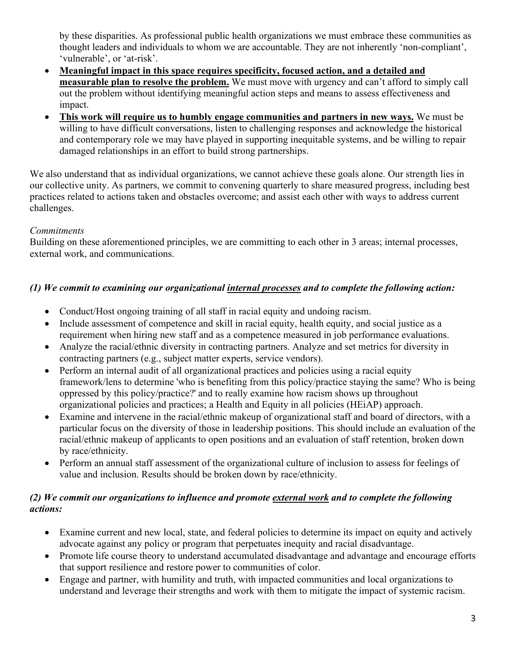by these disparities. As professional public health organizations we must embrace these communities as thought leaders and individuals to whom we are accountable. They are not inherently 'non-compliant', 'vulnerable', or 'at-risk'.

- **Meaningful impact in this space requires specificity, focused action, and a detailed and measurable plan to resolve the problem.** We must move with urgency and can't afford to simply call out the problem without identifying meaningful action steps and means to assess effectiveness and impact.
- **This work will require us to humbly engage communities and partners in new ways.** We must be willing to have difficult conversations, listen to challenging responses and acknowledge the historical and contemporary role we may have played in supporting inequitable systems, and be willing to repair damaged relationships in an effort to build strong partnerships.

We also understand that as individual organizations, we cannot achieve these goals alone. Our strength lies in our collective unity. As partners, we commit to convening quarterly to share measured progress, including best practices related to actions taken and obstacles overcome; and assist each other with ways to address current challenges.

## *Commitments*

Building on these aforementioned principles, we are committing to each other in 3 areas; internal processes, external work, and communications.

# *(1) We commit to examining our organizational internal processes and to complete the following action:*

- Conduct/Host ongoing training of all staff in racial equity and undoing racism.
- Include assessment of competence and skill in racial equity, health equity, and social justice as a requirement when hiring new staff and as a competence measured in job performance evaluations.
- Analyze the racial/ethnic diversity in contracting partners. Analyze and set metrics for diversity in contracting partners (e.g., subject matter experts, service vendors).
- Perform an internal audit of all organizational practices and policies using a racial equity framework/lens to determine 'who is benefiting from this policy/practice staying the same? Who is being oppressed by this policy/practice?' and to really examine how racism shows up throughout organizational policies and practices; a Health and Equity in all policies (HEiAP) approach.
- Examine and intervene in the racial/ethnic makeup of organizational staff and board of directors, with a particular focus on the diversity of those in leadership positions. This should include an evaluation of the racial/ethnic makeup of applicants to open positions and an evaluation of staff retention, broken down by race/ethnicity.
- Perform an annual staff assessment of the organizational culture of inclusion to assess for feelings of value and inclusion. Results should be broken down by race/ethnicity.

## *(2) We commit our organizations to influence and promote external work and to complete the following actions:*

- Examine current and new local, state, and federal policies to determine its impact on equity and actively advocate against any policy or program that perpetuates inequity and racial disadvantage.
- Promote life course theory to understand accumulated disadvantage and advantage and encourage efforts that support resilience and restore power to communities of color.
- Engage and partner, with humility and truth, with impacted communities and local organizations to understand and leverage their strengths and work with them to mitigate the impact of systemic racism.